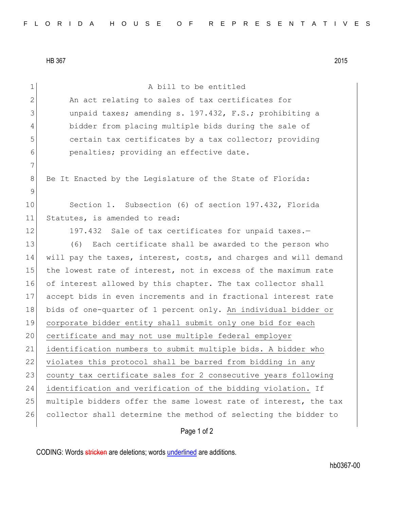HB 367 2015

| $\mathbf{1}$   | A bill to be entitled                                            |
|----------------|------------------------------------------------------------------|
| $\overline{2}$ | An act relating to sales of tax certificates for                 |
| 3              | unpaid taxes; amending s. 197.432, F.S.; prohibiting a           |
| 4              | bidder from placing multiple bids during the sale of             |
| 5              | certain tax certificates by a tax collector; providing           |
| 6              | penalties; providing an effective date.                          |
| $\overline{7}$ |                                                                  |
| 8              | Be It Enacted by the Legislature of the State of Florida:        |
| 9              |                                                                  |
| 10             | Section 1. Subsection (6) of section 197.432, Florida            |
| 11             | Statutes, is amended to read:                                    |
| 12             | 197.432 Sale of tax certificates for unpaid taxes.-              |
| 13             | Each certificate shall be awarded to the person who<br>(6)       |
| 14             | will pay the taxes, interest, costs, and charges and will demand |
| 15             | the lowest rate of interest, not in excess of the maximum rate   |
| 16             | of interest allowed by this chapter. The tax collector shall     |
| 17             | accept bids in even increments and in fractional interest rate   |
| 18             | bids of one-quarter of 1 percent only. An individual bidder or   |
| 19             | corporate bidder entity shall submit only one bid for each       |
| 20             | certificate and may not use multiple federal employer            |
| 21             | identification numbers to submit multiple bids. A bidder who     |
| 22             | violates this protocol shall be barred from bidding in any       |
| 23             | county tax certificate sales for 2 consecutive years following   |
| 24             | identification and verification of the bidding violation. If     |
| 25             | multiple bidders offer the same lowest rate of interest, the tax |
| 26             | collector shall determine the method of selecting the bidder to  |

## Page 1 of 2

CODING: Words stricken are deletions; words underlined are additions.